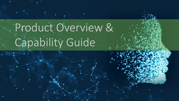# Product Overview & Capability Guide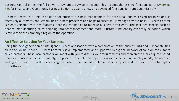Business Central brings the full power of Dynamics NAV to the cloud. This includes the existing functionality of Dynamics 365 for Finance and Operations, Business Edition, as well as new and advanced functionality from Dynamics NAV.

Business Central is a unique solution for efficient business management for both small and mid-sized organizations. It effectively automates and streamlines business processes and helps to successfully manage any business. Business Central is highly versatile with rich features, enabling companies to manage business proficiently. This includes aspects such as finance, manufacturing, sales, shipping, project management and more. Custom functionality can easily be added, which is relevant to the company's region of the operation.

# **An Effective Solution for Your Business**

Being the next generation of intelligent business applications with a combination of the current CRM and ERP capabilities all in one Online Service, Business Central is sold, implemented, and supported by a global network of solution consultants called partners. These local partners will meet with you to discuss your requirements and then create a price quote based upon your business needs. Ultimately, the price of your solution depends on your specific functionality needs, the number and type of users who will be accessing the system, the needed implementation support, and how you choose to deploy the software.



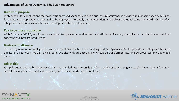# **Advantages of using Dynamics 365 Business Central**

# **Built with purpose**

With new built-in applications that work efficiently and seamlessly in the cloud, secure assistance is provided in managing specific business functions. Each application is designed to be deployed effortlessly and independently to deliver additional value and worth. With perfect integration, additional capabilities can be adopted with ease at any time.

## **Key to be more productive**

With Dynamics 365 BC, employees are assisted to operate more effectively and efficiently. A variety of applications and tools are combined coherently to increase productivity.

## **Business Intelligence**

The next generation of intelligent business applications facilitates the handling of data. Dynamics 365 BC provides an integrated business application. The focus not only on big data, but also with advanced analytics can be transformed into unique processes and actionable plans.

# **Adaptable**

All applications offered by Dynamics 365 BC are bundled into one single platform, which ensures a single view of all your data. Information can effortlessly be composed and modified, and processes extended in real-time.



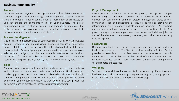# **Business Functionality**

#### **Finance**

Make and collect payments, manage your cash flow, defer income and revenue, prepare year-end closing, and manage fixed assets. Business Central includes a standard configuration of most financial processes, but you can change the configuration to suit your business. The default configuration includes a chart of accounts and standard posting groups that make the process of assigning default general ledger posting accounts to customers, vendors, and items more efficient.

#### **Business Intelligence**

Get insight to the performance of your business activities through budgets, account schedules, and analysis views. Businesses capture a tremendous amount of data through daily activity. This data, which reflects such things as the organization's sales figures, purchases, operational expenses, employee salaries, and budgets, can become valuable information, or business intelligence, for decision makers. Business Central contains a number of features that help you gather, analyse, and share your company data.

#### **Sales**

Manage sales processes and information, such as quotes, orders, returns, and customer accounts, and make drop shipments. Good sales and marketing practices are all about how to make the best decisions at the right time. Marketing functionality in Business Central provides precise and timely overview of your contact information so that you can serve your prospective customers more efficiently and increase customer satisfaction.

#### **Project Management**

Create jobs and schedule resources for project, manage job budgets, monitor progress, and track machine and employee hours. In Business Central, you can perform common project management tasks, such as configuring a job and scheduling a resource, as well as providing the information needed to manage budgets and monitor progress. You can track machine and employee hours on the project by using time sheets. As a project manager, you have a good overview, not only of individual jobs, but also of the allocation of employees, machinery and other resources being used in all projects.

#### **Fixed Assets**

Organize your fixed assets, ensure correct periodic depreciation, and keep track of maintenance costs. The Fixed Assets functionality in Business Central provides an overview of your fixed assets and ensures correct periodic depreciation. It also enables you to keep track of your maintenance costs, manage insurance policies, post fixed asset transactions, and generate various reports and statistics.

#### **Workflow**

Set up and use workflows that connect tasks performed by different users or by the system, such as automatic posting. Requesting and granting approval to create or post documents are typical workflow steps.